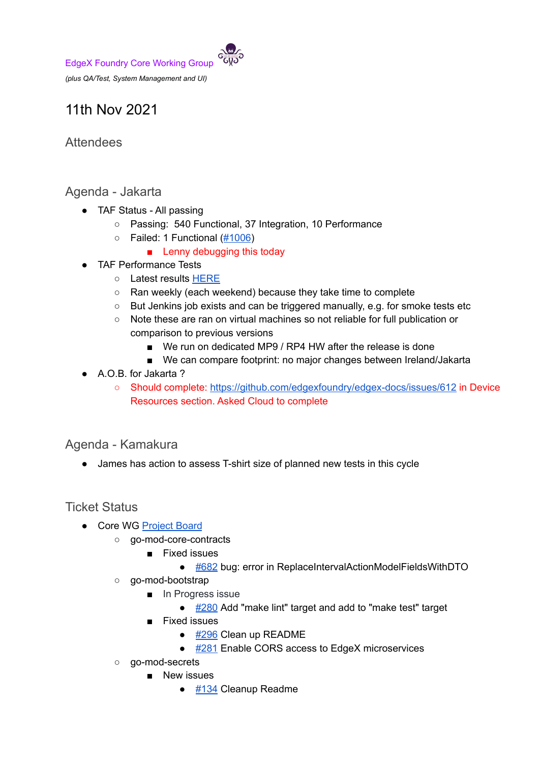*(plus QA/Test, System Management and UI)*

# 11th Nov 2021

## **Attendees**

## Agenda - Jakarta

- TAF Status All passing
	- Passing: 540 Functional, 37 Integration, 10 Performance
	- $\circ$  Failed: 1 Functional  $(\#1006)$ 
		- Lenny debugging this today
- TAF Performance Tests
	- Latest results HERE
	- Ran weekly (each weekend) because they take time to complete
	- But Jenkins job exists and can be triggered manually, e.g. for smoke tests etc
	- Note these are ran on virtual machines so not reliable for full publication or comparison to previous versions
		- We run on dedicated MP9 / RP4 HW after the release is done
		- We can compare footprint: no major changes between Ireland/Jakarta
- A.O.B. for Jakarta?
	- Should complete: https://github.com/edgexfoundry/edgex-docs/issues/612 in Device Resources section. Asked Cloud to complete

### Agenda - Kamakura

● James has action to assess T-shirt size of planned new tests in this cycle

### Ticket Status

- Core WG Project Board
	- go-mod-core-contracts
		- Fixed issues
			- #682 bug: error in ReplaceIntervalActionModelFieldsWithDTO
	- go-mod-bootstrap
		- In Progress issue
			- #280 Add "make lint" target and add to "make test" target
		- Fixed issues
			- #296 Clean up README
			- #281 Enable CORS access to EdgeX microservices
	- go-mod-secrets
		- New issues
			- #134 Cleanup Readme